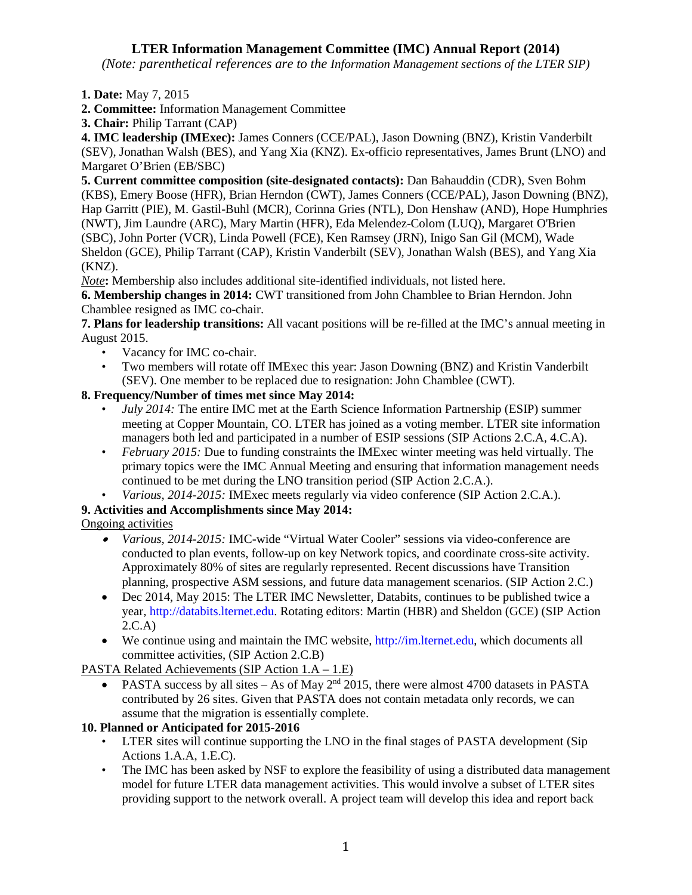# **LTER Information Management Committee (IMC) Annual Report (2014)**

*(Note: parenthetical references are to the Information Management sections of the LTER SIP)*

**1. Date:** May 7, 2015

**2. Committee:** Information Management Committee

**3. Chair:** Philip Tarrant (CAP)

**4. IMC leadership (IMExec):** James Conners (CCE/PAL), Jason Downing (BNZ), Kristin Vanderbilt (SEV), Jonathan Walsh (BES), and Yang Xia (KNZ). Ex-officio representatives, James Brunt (LNO) and Margaret O'Brien (EB/SBC)

**5. Current committee composition (site-designated contacts):** Dan Bahauddin (CDR), Sven Bohm (KBS), Emery Boose (HFR), Brian Herndon (CWT), James Conners (CCE/PAL), Jason Downing (BNZ), Hap Garritt (PIE), M. Gastil-Buhl (MCR), Corinna Gries (NTL), Don Henshaw (AND), Hope Humphries (NWT), Jim Laundre (ARC), Mary Martin (HFR), Eda Melendez-Colom (LUQ), Margaret O'Brien (SBC), John Porter (VCR), Linda Powell (FCE), Ken Ramsey (JRN), Inigo San Gil (MCM), Wade Sheldon (GCE), Philip Tarrant (CAP), Kristin Vanderbilt (SEV), Jonathan Walsh (BES), and Yang Xia (KNZ).

*Note***:** Membership also includes additional site-identified individuals, not listed here.

**6. Membership changes in 2014:** CWT transitioned from John Chamblee to Brian Herndon. John Chamblee resigned as IMC co-chair.

**7. Plans for leadership transitions:** All vacant positions will be re-filled at the IMC's annual meeting in August 2015.

- Vacancy for IMC co-chair.
- Two members will rotate off IMExec this year: Jason Downing (BNZ) and Kristin Vanderbilt (SEV). One member to be replaced due to resignation: John Chamblee (CWT).

## **8. Frequency/Number of times met since May 2014:**

- *July 2014:* The entire IMC met at the Earth Science Information Partnership (ESIP) summer meeting at Copper Mountain, CO. LTER has joined as a voting member. LTER site information managers both led and participated in a number of ESIP sessions (SIP Actions 2.C.A, 4.C.A).
- *February 2015:* Due to funding constraints the IMExec winter meeting was held virtually. The primary topics were the IMC Annual Meeting and ensuring that information management needs continued to be met during the LNO transition period (SIP Action 2.C.A.).
- *Various, 2014-2015:* IMExec meets regularly via video conference (SIP Action 2.C.A.).

## **9. Activities and Accomplishments since May 2014:**

Ongoing activities

- *Various, 2014-2015:* IMC-wide "Virtual Water Cooler" sessions via video-conference are conducted to plan events, follow-up on key Network topics, and coordinate cross-site activity. Approximately 80% of sites are regularly represented. Recent discussions have Transition planning, prospective ASM sessions, and future data management scenarios. (SIP Action 2.C.)
- Dec 2014, May 2015: The LTER IMC Newsletter, Databits, continues to be published twice a year, http://databits.lternet.edu. Rotating editors: Martin (HBR) and Sheldon (GCE) (SIP Action 2.C.A)
- We continue using and maintain the IMC website, http://im.lternet.edu, which documents all committee activities, (SIP Action 2.C.B)

PASTA Related Achievements (SIP Action 1.A – 1.E)

PASTA success by all sites – As of May  $2<sup>nd</sup>$  2015, there were almost 4700 datasets in PASTA contributed by 26 sites. Given that PASTA does not contain metadata only records, we can assume that the migration is essentially complete.

## **10. Planned or Anticipated for 2015-2016**

- LTER sites will continue supporting the LNO in the final stages of PASTA development (Sip Actions 1.A.A, 1.E.C).
- The IMC has been asked by NSF to explore the feasibility of using a distributed data management model for future LTER data management activities. This would involve a subset of LTER sites providing support to the network overall. A project team will develop this idea and report back